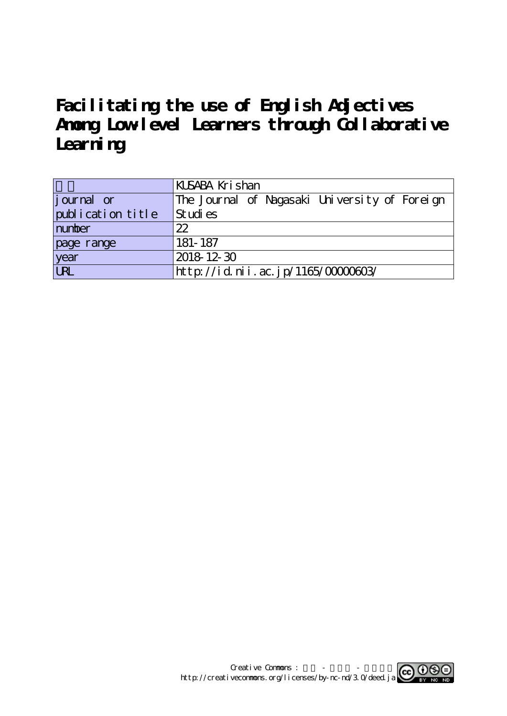# **Facilitating the use of English Adjectives Among Low-level Learners through Collaborative** Learning

|                    | KUSABA Krishan                                |
|--------------------|-----------------------------------------------|
| <i>j</i> ournal or | The Journal of Nagasaki University of Foreign |
| publication title  | St udi es                                     |
| number             | 22                                            |
| page range         | 181-187                                       |
| year<br>URL        | 2018 12 30                                    |
|                    | http://id.nii.ac.jp/1165/0000603/             |

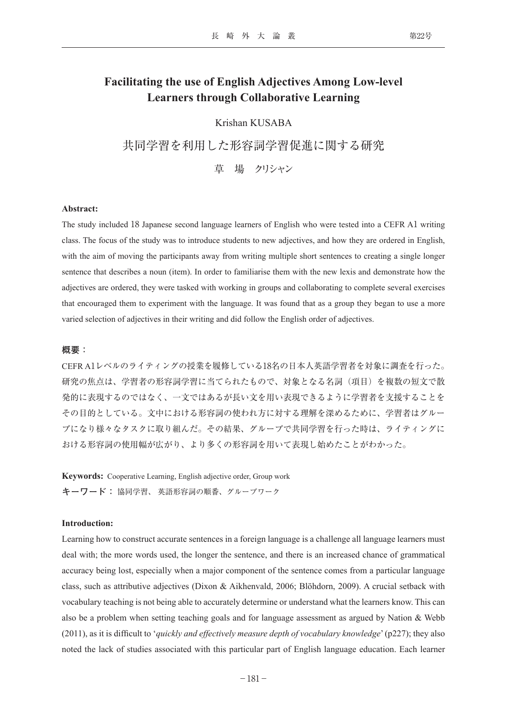## **Facilitating the use of English Adjectives Among Low-level Learners through Collaborative Learning**

### Krishan KUSABA

共同学習を利用した形容詞学習促進に関する研究

草 場 クリシャン

#### **Abstract:**

The study included 18 Japanese second language learners of English who were tested into a CEFR A1 writing class. The focus of the study was to introduce students to new adjectives, and how they are ordered in English, with the aim of moving the participants away from writing multiple short sentences to creating a single longer sentence that describes a noun (item). In order to familiarise them with the new lexis and demonstrate how the adjectives are ordered, they were tasked with working in groups and collaborating to complete several exercises that encouraged them to experiment with the language. It was found that as a group they began to use a more varied selection of adjectives in their writing and did follow the English order of adjectives.

#### **概要:**

CEFR A1レベルのライティングの授業を履修している18名の日本人英語学習者を対象に調査を行った。 研究の焦点は、学習者の形容詞学習に当てられたもので、対象となる名詞(項目)を複数の短文で散 発的に表現するのではなく、一文ではあるが長い文を用い表現できるように学習者を支援することを その目的としている。文中における形容詞の使われ方に対する理解を深めるために、学習者はグルー プになり様々なタスクに取り組んだ。その結果、グループで共同学習を行った時は、ライティングに おける形容詞の使用幅が広がり、より多くの形容詞を用いて表現し始めたことがわかった。

**Keywords:** Cooperative Learning, English adjective order, Group work **キーワード:** 協同学習、 英語形容詞の順番、グループワーク

#### **Introduction:**

Learning how to construct accurate sentences in a foreign language is a challenge all language learners must deal with; the more words used, the longer the sentence, and there is an increased chance of grammatical accuracy being lost, especially when a major component of the sentence comes from a particular language class, such as attributive adjectives (Dixon & Aikhenvald, 2006; Blöhdorn, 2009). A crucial setback with vocabulary teaching is not being able to accurately determine or understand what the learners know. This can also be a problem when setting teaching goals and for language assessment as argued by Nation & Webb (2011), as it is difficult to '*quickly and effectively measure depth of vocabulary knowledge*' (p227); they also noted the lack of studies associated with this particular part of English language education. Each learner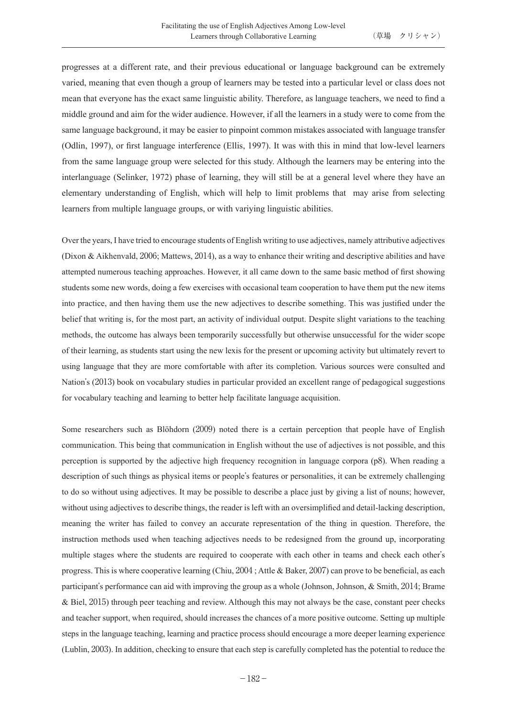progresses at a different rate, and their previous educational or language background can be extremely varied, meaning that even though a group of learners may be tested into a particular level or class does not mean that everyone has the exact same linguistic ability. Therefore, as language teachers, we need to find a middle ground and aim for the wider audience. However, if all the learners in a study were to come from the same language background, it may be easier to pinpoint common mistakes associated with language transfer (Odlin, 1997), or first language interference (Ellis, 1997). It was with this in mind that low-level learners from the same language group were selected for this study. Although the learners may be entering into the interlanguage (Selinker, 1972) phase of learning, they will still be at a general level where they have an elementary understanding of English, which will help to limit problems that may arise from selecting learners from multiple language groups, or with variying linguistic abilities.

Over the years, I have tried to encourage students of English writing to use adjectives, namely attributive adjectives (Dixon & Aikhenvald, 2006; Mattews, 2014), as a way to enhance their writing and descriptive abilities and have attempted numerous teaching approaches. However, it all came down to the same basic method of first showing students some new words, doing a few exercises with occasional team cooperation to have them put the new items into practice, and then having them use the new adjectives to describe something. This was justified under the belief that writing is, for the most part, an activity of individual output. Despite slight variations to the teaching methods, the outcome has always been temporarily successfully but otherwise unsuccessful for the wider scope of their learning, as students start using the new lexis for the present or upcoming activity but ultimately revert to using language that they are more comfortable with after its completion. Various sources were consulted and Nation's (2013) book on vocabulary studies in particular provided an excellent range of pedagogical suggestions for vocabulary teaching and learning to better help facilitate language acquisition.

Some researchers such as Blöhdorn (2009) noted there is a certain perception that people have of English communication. This being that communication in English without the use of adjectives is not possible, and this perception is supported by the adjective high frequency recognition in language corpora (p8). When reading a description of such things as physical items or people's features or personalities, it can be extremely challenging to do so without using adjectives. It may be possible to describe a place just by giving a list of nouns; however, without using adjectives to describe things, the reader is left with an oversimplified and detail-lacking description, meaning the writer has failed to convey an accurate representation of the thing in question. Therefore, the instruction methods used when teaching adjectives needs to be redesigned from the ground up, incorporating multiple stages where the students are required to cooperate with each other in teams and check each other's progress. This is where cooperative learning (Chiu, 2004 ; Attle & Baker, 2007) can prove to be beneficial, as each participant's performance can aid with improving the group as a whole (Johnson, Johnson, & Smith, 2014; Brame & Biel, 2015) through peer teaching and review. Although this may not always be the case, constant peer checks and teacher support, when required, should increases the chances of a more positive outcome. Setting up multiple steps in the language teaching, learning and practice process should encourage a more deeper learning experience (Lublin, 2003). In addition, checking to ensure that each step is carefully completed has the potential to reduce the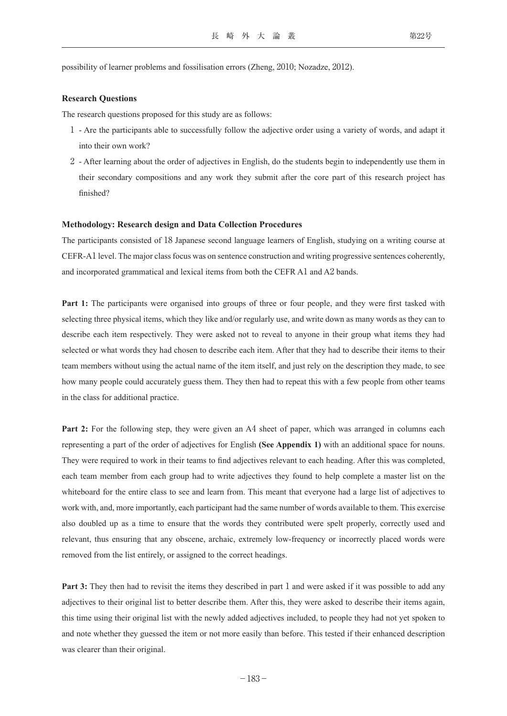possibility of learner problems and fossilisation errors (Zheng, 2010; Nozadze, 2012).

#### **Research Questions**

The research questions proposed for this study are as follows:

- 1 Are the participants able to successfully follow the adjective order using a variety of words, and adapt it into their own work?
- 2 After learning about the order of adjectives in English, do the students begin to independently use them in their secondary compositions and any work they submit after the core part of this research project has finished?

#### **Methodology: Research design and Data Collection Procedures**

The participants consisted of 18 Japanese second language learners of English, studying on a writing course at CEFR-A1 level. The major class focus was on sentence construction and writing progressive sentences coherently, and incorporated grammatical and lexical items from both the CEFR A1 and A2 bands.

**Part 1:** The participants were organised into groups of three or four people, and they were first tasked with selecting three physical items, which they like and/or regularly use, and write down as many words as they can to describe each item respectively. They were asked not to reveal to anyone in their group what items they had selected or what words they had chosen to describe each item. After that they had to describe their items to their team members without using the actual name of the item itself, and just rely on the description they made, to see how many people could accurately guess them. They then had to repeat this with a few people from other teams in the class for additional practice.

**Part 2:** For the following step, they were given an A4 sheet of paper, which was arranged in columns each representing a part of the order of adjectives for English **(See Appendix 1)** with an additional space for nouns. They were required to work in their teams to find adjectives relevant to each heading. After this was completed, each team member from each group had to write adjectives they found to help complete a master list on the whiteboard for the entire class to see and learn from. This meant that everyone had a large list of adjectives to work with, and, more importantly, each participant had the same number of words available to them. This exercise also doubled up as a time to ensure that the words they contributed were spelt properly, correctly used and relevant, thus ensuring that any obscene, archaic, extremely low-frequency or incorrectly placed words were removed from the list entirely, or assigned to the correct headings.

**Part 3:** They then had to revisit the items they described in part 1 and were asked if it was possible to add any adjectives to their original list to better describe them. After this, they were asked to describe their items again, this time using their original list with the newly added adjectives included, to people they had not yet spoken to and note whether they guessed the item or not more easily than before. This tested if their enhanced description was clearer than their original.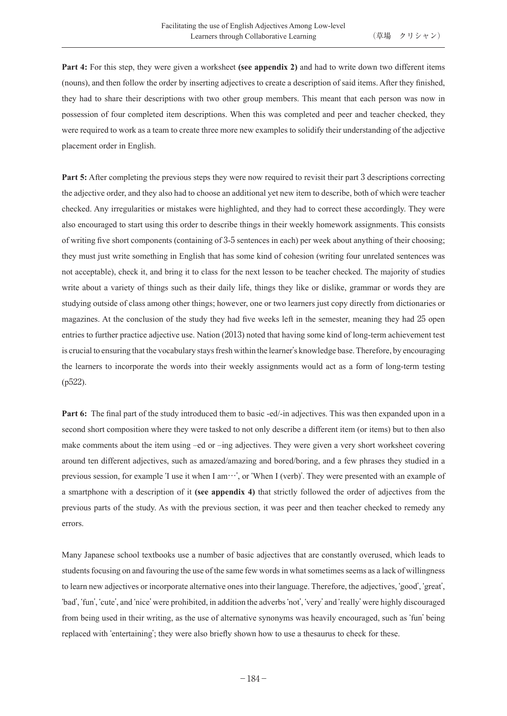**Part 4:** For this step, they were given a worksheet **(see appendix 2)** and had to write down two different items (nouns), and then follow the order by inserting adjectives to create a description of said items. After they finished, they had to share their descriptions with two other group members. This meant that each person was now in possession of four completed item descriptions. When this was completed and peer and teacher checked, they were required to work as a team to create three more new examples to solidify their understanding of the adjective placement order in English.

**Part 5:** After completing the previous steps they were now required to revisit their part 3 descriptions correcting the adjective order, and they also had to choose an additional yet new item to describe, both of which were teacher checked. Any irregularities or mistakes were highlighted, and they had to correct these accordingly. They were also encouraged to start using this order to describe things in their weekly homework assignments. This consists of writing five short components (containing of 3-5 sentences in each) per week about anything of their choosing; they must just write something in English that has some kind of cohesion (writing four unrelated sentences was not acceptable), check it, and bring it to class for the next lesson to be teacher checked. The majority of studies write about a variety of things such as their daily life, things they like or dislike, grammar or words they are studying outside of class among other things; however, one or two learners just copy directly from dictionaries or magazines. At the conclusion of the study they had five weeks left in the semester, meaning they had 25 open entries to further practice adjective use. Nation (2013) noted that having some kind of long-term achievement test is crucial to ensuring that the vocabulary stays fresh within the learner's knowledge base. Therefore, by encouraging the learners to incorporate the words into their weekly assignments would act as a form of long-term testing (p522).

**Part 6:** The final part of the study introduced them to basic -ed/-in adjectives. This was then expanded upon in a second short composition where they were tasked to not only describe a different item (or items) but to then also make comments about the item using –ed or –ing adjectives. They were given a very short worksheet covering around ten different adjectives, such as amazed/amazing and bored/boring, and a few phrases they studied in a previous session, for example ʻI use it when I am…', or ʻWhen I (verb)'. They were presented with an example of a smartphone with a description of it **(see appendix 4)** that strictly followed the order of adjectives from the previous parts of the study. As with the previous section, it was peer and then teacher checked to remedy any errors.

Many Japanese school textbooks use a number of basic adjectives that are constantly overused, which leads to students focusing on and favouring the use of the same few words in what sometimes seems as a lack of willingness to learn new adjectives or incorporate alternative ones into their language. Therefore, the adjectives, ʻgood', ʻgreat', ʻbad', ʻfun', ʻcute', and ʻnice' were prohibited, in addition the adverbs ʻnot', ʻvery' and ʻreally' were highly discouraged from being used in their writing, as the use of alternative synonyms was heavily encouraged, such as ʻfun' being replaced with ʻentertaining'; they were also briefly shown how to use a thesaurus to check for these.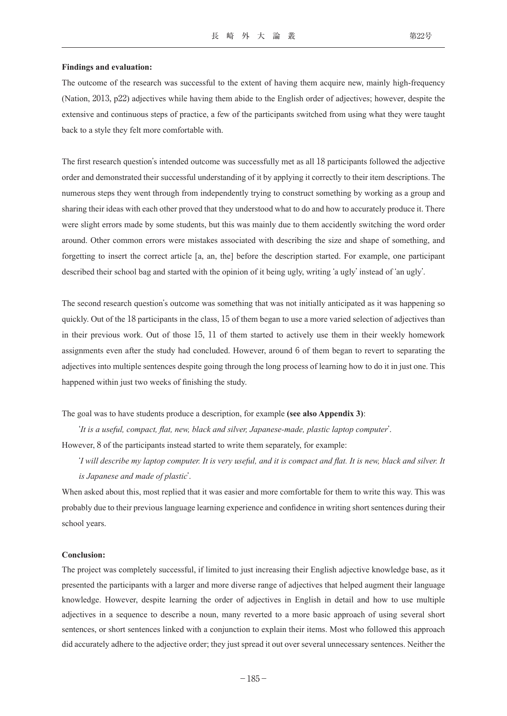#### **Findings and evaluation:**

The outcome of the research was successful to the extent of having them acquire new, mainly high-frequency (Nation, 2013, p22) adjectives while having them abide to the English order of adjectives; however, despite the extensive and continuous steps of practice, a few of the participants switched from using what they were taught back to a style they felt more comfortable with.

The first research question's intended outcome was successfully met as all 18 participants followed the adjective order and demonstrated their successful understanding of it by applying it correctly to their item descriptions. The numerous steps they went through from independently trying to construct something by working as a group and sharing their ideas with each other proved that they understood what to do and how to accurately produce it. There were slight errors made by some students, but this was mainly due to them accidently switching the word order around. Other common errors were mistakes associated with describing the size and shape of something, and forgetting to insert the correct article [a, an, the] before the description started. For example, one participant described their school bag and started with the opinion of it being ugly, writing ʻa ugly' instead of ʻan ugly'.

The second research question's outcome was something that was not initially anticipated as it was happening so quickly. Out of the 18 participants in the class, 15 of them began to use a more varied selection of adjectives than in their previous work. Out of those 15, 11 of them started to actively use them in their weekly homework assignments even after the study had concluded. However, around 6 of them began to revert to separating the adjectives into multiple sentences despite going through the long process of learning how to do it in just one. This happened within just two weeks of finishing the study.

The goal was to have students produce a description, for example **(see also Appendix 3)**:

ʻ*It is a useful, compact, flat, new, black and silver, Japanese-made, plastic laptop computer*'. However, 8 of the participants instead started to write them separately, for example:

 ʻ*I will describe my laptop computer. It is very useful, and it is compact and flat. It is new, black and silver. It is Japanese and made of plastic*'.

When asked about this, most replied that it was easier and more comfortable for them to write this way. This was probably due to their previous language learning experience and confidence in writing short sentences during their school years.

#### **Conclusion:**

The project was completely successful, if limited to just increasing their English adjective knowledge base, as it presented the participants with a larger and more diverse range of adjectives that helped augment their language knowledge. However, despite learning the order of adjectives in English in detail and how to use multiple adjectives in a sequence to describe a noun, many reverted to a more basic approach of using several short sentences, or short sentences linked with a conjunction to explain their items. Most who followed this approach did accurately adhere to the adjective order; they just spread it out over several unnecessary sentences. Neither the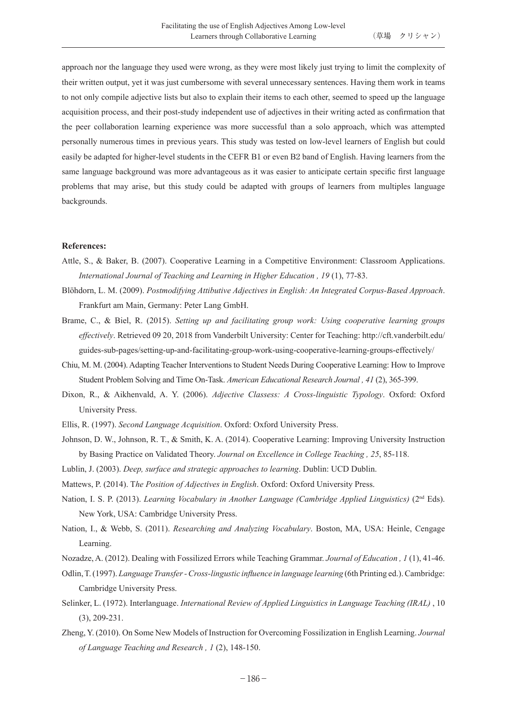approach nor the language they used were wrong, as they were most likely just trying to limit the complexity of their written output, yet it was just cumbersome with several unnecessary sentences. Having them work in teams to not only compile adjective lists but also to explain their items to each other, seemed to speed up the language acquisition process, and their post-study independent use of adjectives in their writing acted as confirmation that the peer collaboration learning experience was more successful than a solo approach, which was attempted personally numerous times in previous years. This study was tested on low-level learners of English but could easily be adapted for higher-level students in the CEFR B1 or even B2 band of English. Having learners from the same language background was more advantageous as it was easier to anticipate certain specific first language problems that may arise, but this study could be adapted with groups of learners from multiples language backgrounds.

#### **References:**

- Attle, S., & Baker, B. (2007). Cooperative Learning in a Competitive Environment: Classroom Applications. *International Journal of Teaching and Learning in Higher Education , 19* (1), 77-83.
- Blöhdorn, L. M. (2009). *Postmodifying Attibutive Adjectives in English: An Integrated Corpus-Based Approach*. Frankfurt am Main, Germany: Peter Lang GmbH.
- Brame, C., & Biel, R. (2015). *Setting up and facilitating group work: Using cooperative learning groups effectively*. Retrieved 09 20, 2018 from Vanderbilt University: Center for Teaching: http://cft.vanderbilt.edu/ guides-sub-pages/setting-up-and-facilitating-group-work-using-cooperative-learning-groups-effectively/
- Chiu, M. M. (2004). Adapting Teacher Interventions to Student Needs During Cooperative Learning: How to Improve Student Problem Solving and Time On-Task. *American Educational Research Journal , 41* (2), 365-399.
- Dixon, R., & Aikhenvald, A. Y. (2006). *Adjective Classess: A Cross-linguistic Typology*. Oxford: Oxford University Press.
- Ellis, R. (1997). *Second Language Acquisition*. Oxford: Oxford University Press.
- Johnson, D. W., Johnson, R. T., & Smith, K. A. (2014). Cooperative Learning: Improving University Instruction by Basing Practice on Validated Theory. *Journal on Excellence in College Teaching , 25*, 85-118.
- Lublin, J. (2003). *Deep, surface and strategic approaches to learning*. Dublin: UCD Dublin.
- Mattews, P. (2014). T*he Position of Adjectives in English*. Oxford: Oxford University Press.
- Nation, I. S. P. (2013). *Learning Vocabulary in Another Language (Cambridge Applied Linguistics)* (2nd Eds). New York, USA: Cambridge University Press.
- Nation, I., & Webb, S. (2011). *Researching and Analyzing Vocabulary*. Boston, MA, USA: Heinle, Cengage Learning.
- Nozadze, A. (2012). Dealing with Fossilized Errors while Teaching Grammar. *Journal of Education , 1* (1), 41-46.
- Odlin, T. (1997). *Language Transfer Cross-lingustic influence in language learning* (6th Printing ed.). Cambridge: Cambridge University Press.
- Selinker, L. (1972). Interlanguage. *International Review of Applied Linguistics in Language Teaching (IRAL)* , 10 (3), 209-231.
- Zheng, Y. (2010). On Some New Models of Instruction for Overcoming Fossilization in English Learning. *Journal of Language Teaching and Research , 1* (2), 148-150.